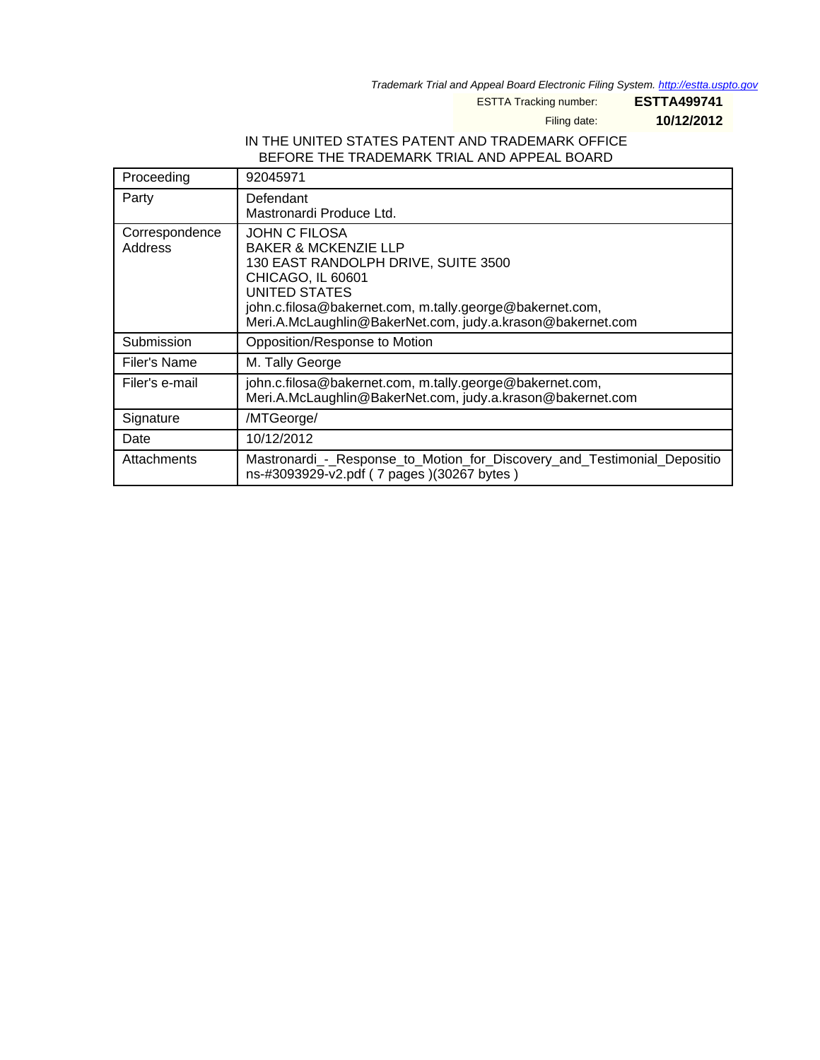Trademark Trial and Appeal Board Electronic Filing System. <http://estta.uspto.gov>

ESTTA Tracking number: **ESTTA499741**

Filing date: **10/12/2012**

## IN THE UNITED STATES PATENT AND TRADEMARK OFFICE BEFORE THE TRADEMARK TRIAL AND APPEAL BOARD

| Proceeding                | 92045971                                                                                                                                                                                                                                                       |
|---------------------------|----------------------------------------------------------------------------------------------------------------------------------------------------------------------------------------------------------------------------------------------------------------|
| Party                     | Defendant<br>Mastronardi Produce Ltd.                                                                                                                                                                                                                          |
| Correspondence<br>Address | <b>JOHN C FILOSA</b><br><b>BAKER &amp; MCKENZIE LLP</b><br>130 EAST RANDOLPH DRIVE, SUITE 3500<br>CHICAGO, IL 60601<br>UNITED STATES<br>john.c.filosa@bakernet.com, m.tally.george@bakernet.com,<br>Meri.A.McLaughlin@BakerNet.com, judy.a.krason@bakernet.com |
| Submission                | Opposition/Response to Motion                                                                                                                                                                                                                                  |
| Filer's Name              | M. Tally George                                                                                                                                                                                                                                                |
| Filer's e-mail            | john.c.filosa@bakernet.com, m.tally.george@bakernet.com,<br>Meri.A.McLaughlin@BakerNet.com, judy.a.krason@bakernet.com                                                                                                                                         |
| Signature                 | /MTGeorge/                                                                                                                                                                                                                                                     |
| Date                      | 10/12/2012                                                                                                                                                                                                                                                     |
| Attachments               | Mastronardi_-_Response_to_Motion_for_Discovery_and_Testimonial_Depositio<br>ns-#3093929-v2.pdf (7 pages)(30267 bytes)                                                                                                                                          |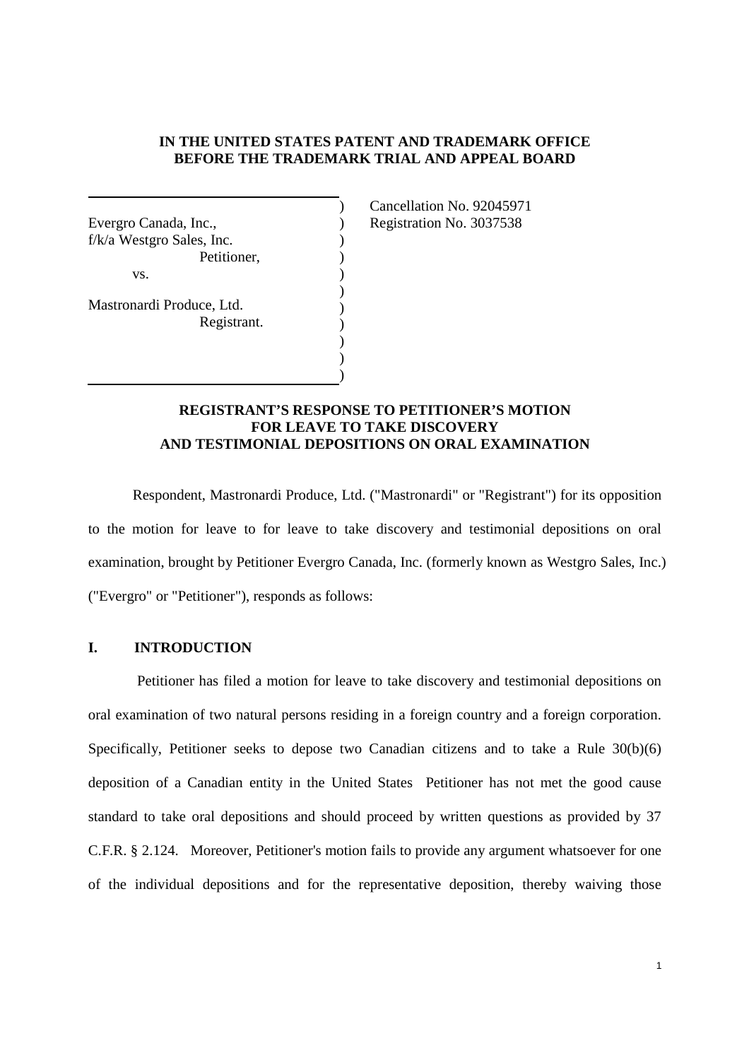#### **IN THE UNITED STATES PATENT AND TRADEMARK OFFICE BEFORE THE TRADEMARK TRIAL AND APPEAL BOARD**

) ) ) ) ) ) ) ) ) ) )

Evergro Canada, Inc., f/k/a Westgro Sales, Inc. Petitioner, vs. Mastronardi Produce, Ltd.

Registrant.

Cancellation No. 92045971 Registration No. 3037538

#### **REGISTRANT'S RESPONSE TO PETITIONER'S MOTION FOR LEAVE TO TAKE DISCOVERY AND TESTIMONIAL DEPOSITIONS ON ORAL EXAMINATION**

Respondent, Mastronardi Produce, Ltd. ("Mastronardi" or "Registrant") for its opposition to the motion for leave to for leave to take discovery and testimonial depositions on oral examination, brought by Petitioner Evergro Canada, Inc. (formerly known as Westgro Sales, Inc.) ("Evergro" or "Petitioner"), responds as follows:

## **I. INTRODUCTION**

Petitioner has filed a motion for leave to take discovery and testimonial depositions on oral examination of two natural persons residing in a foreign country and a foreign corporation. Specifically, Petitioner seeks to depose two Canadian citizens and to take a Rule 30(b)(6) deposition of a Canadian entity in the United States Petitioner has not met the good cause standard to take oral depositions and should proceed by written questions as provided by 37 C.F.R. § 2.124. Moreover, Petitioner's motion fails to provide any argument whatsoever for one of the individual depositions and for the representative deposition, thereby waiving those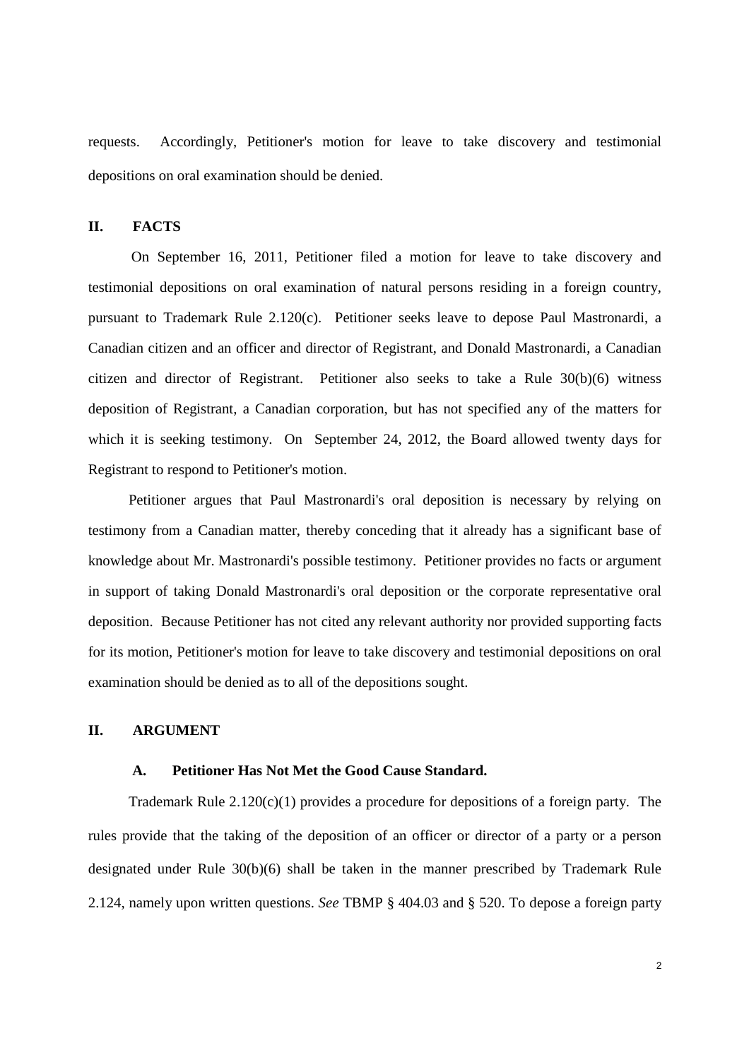requests. Accordingly, Petitioner's motion for leave to take discovery and testimonial depositions on oral examination should be denied.

#### **II. FACTS**

On September 16, 2011, Petitioner filed a motion for leave to take discovery and testimonial depositions on oral examination of natural persons residing in a foreign country, pursuant to Trademark Rule 2.120(c). Petitioner seeks leave to depose Paul Mastronardi, a Canadian citizen and an officer and director of Registrant, and Donald Mastronardi, a Canadian citizen and director of Registrant. Petitioner also seeks to take a Rule 30(b)(6) witness deposition of Registrant, a Canadian corporation, but has not specified any of the matters for which it is seeking testimony. On September 24, 2012, the Board allowed twenty days for Registrant to respond to Petitioner's motion.

Petitioner argues that Paul Mastronardi's oral deposition is necessary by relying on testimony from a Canadian matter, thereby conceding that it already has a significant base of knowledge about Mr. Mastronardi's possible testimony. Petitioner provides no facts or argument in support of taking Donald Mastronardi's oral deposition or the corporate representative oral deposition. Because Petitioner has not cited any relevant authority nor provided supporting facts for its motion, Petitioner's motion for leave to take discovery and testimonial depositions on oral examination should be denied as to all of the depositions sought.

#### **II. ARGUMENT**

#### **A. Petitioner Has Not Met the Good Cause Standard.**

Trademark Rule  $2.120(c)(1)$  provides a procedure for depositions of a foreign party. The rules provide that the taking of the deposition of an officer or director of a party or a person designated under Rule 30(b)(6) shall be taken in the manner prescribed by Trademark Rule 2.124, namely upon written questions. *See* TBMP § 404.03 and § 520. To depose a foreign party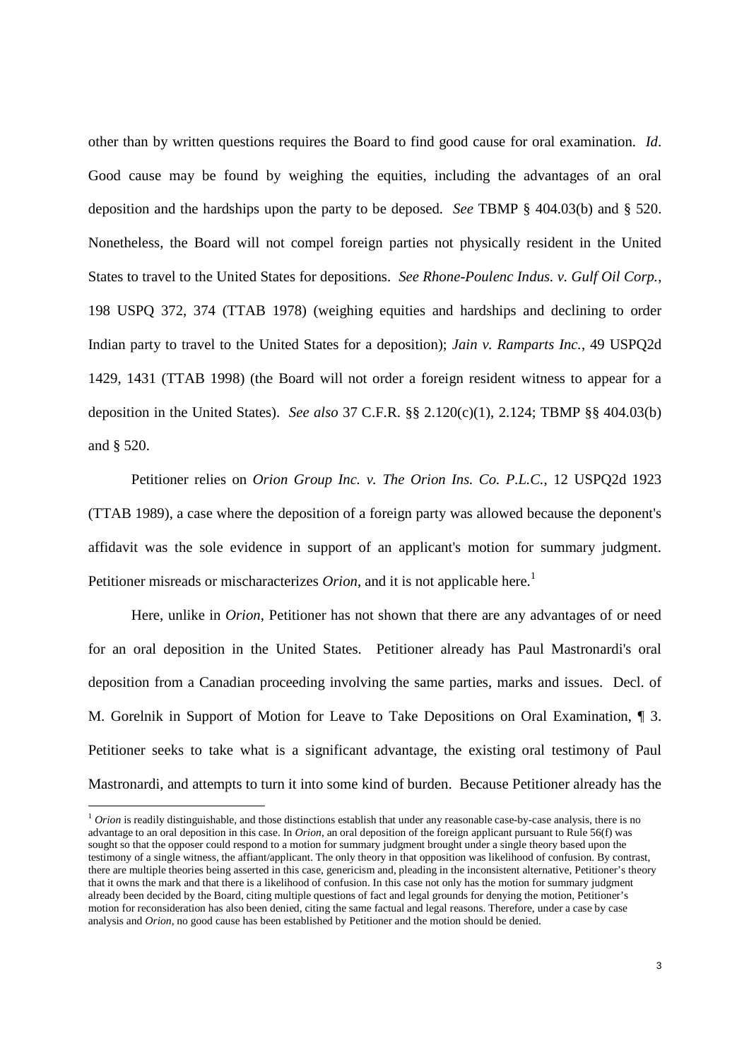other than by written questions requires the Board to find good cause for oral examination. *Id*. Good cause may be found by weighing the equities, including the advantages of an oral deposition and the hardships upon the party to be deposed. *See* TBMP § 404.03(b) and § 520. Nonetheless, the Board will not compel foreign parties not physically resident in the United States to travel to the United States for depositions. *See Rhone-Poulenc Indus. v. Gulf Oil Corp.*, 198 USPQ 372, 374 (TTAB 1978) (weighing equities and hardships and declining to order Indian party to travel to the United States for a deposition); *Jain v. Ramparts Inc.*, 49 USPQ2d 1429, 1431 (TTAB 1998) (the Board will not order a foreign resident witness to appear for a deposition in the United States). *See also* 37 C.F.R. §§ 2.120(c)(1), 2.124; TBMP §§ 404.03(b) and § 520.

Petitioner relies on *Orion Group Inc. v. The Orion Ins. Co. P.L.C.*, 12 USPQ2d 1923 (TTAB 1989), a case where the deposition of a foreign party was allowed because the deponent's affidavit was the sole evidence in support of an applicant's motion for summary judgment. Petitioner misreads or mischaracterizes *Orion*, and it is not applicable here.<sup>1</sup>

Here, unlike in *Orion*, Petitioner has not shown that there are any advantages of or need for an oral deposition in the United States. Petitioner already has Paul Mastronardi's oral deposition from a Canadian proceeding involving the same parties, marks and issues. Decl. of M. Gorelnik in Support of Motion for Leave to Take Depositions on Oral Examination, ¶ 3. Petitioner seeks to take what is a significant advantage, the existing oral testimony of Paul Mastronardi, and attempts to turn it into some kind of burden. Because Petitioner already has the

<sup>&</sup>lt;sup>1</sup> *Orion* is readily distinguishable, and those distinctions establish that under any reasonable case-by-case analysis, there is no advantage to an oral deposition in this case. In *Orion*, an oral deposition of the foreign applicant pursuant to Rule 56(f) was sought so that the opposer could respond to a motion for summary judgment brought under a single theory based upon the testimony of a single witness, the affiant/applicant. The only theory in that opposition was likelihood of confusion. By contrast, there are multiple theories being asserted in this case, genericism and, pleading in the inconsistent alternative, Petitioner's theory that it owns the mark and that there is a likelihood of confusion. In this case not only has the motion for summary judgment already been decided by the Board, citing multiple questions of fact and legal grounds for denying the motion, Petitioner's motion for reconsideration has also been denied, citing the same factual and legal reasons. Therefore, under a case by case analysis and *Orion*, no good cause has been established by Petitioner and the motion should be denied.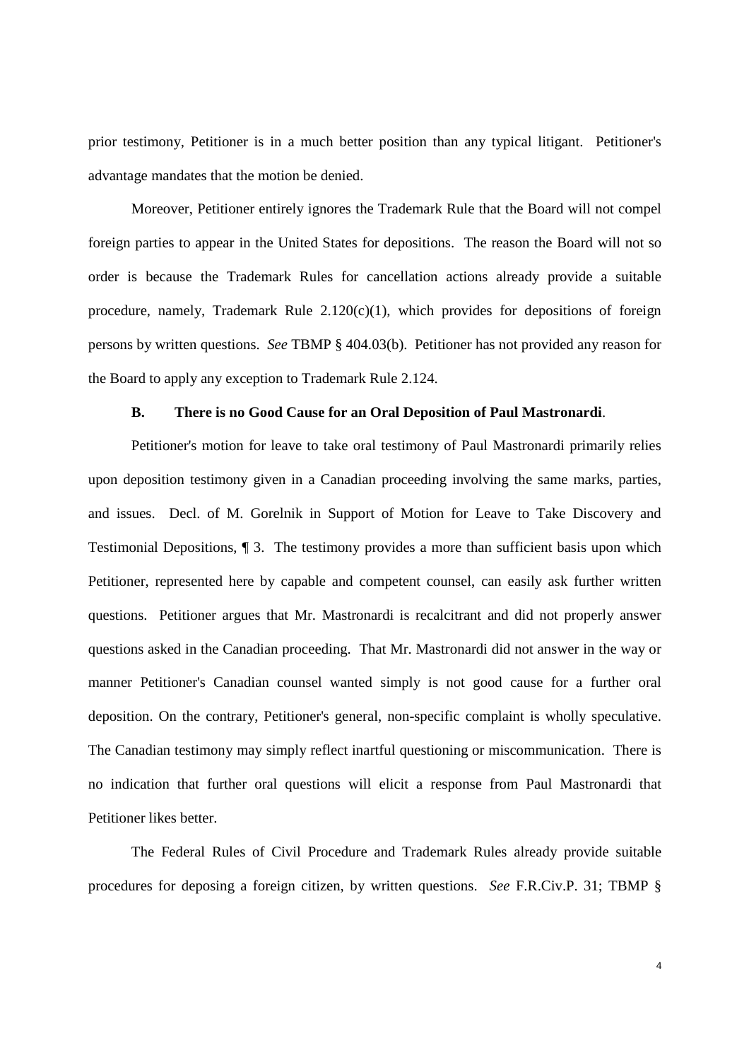prior testimony, Petitioner is in a much better position than any typical litigant. Petitioner's advantage mandates that the motion be denied.

Moreover, Petitioner entirely ignores the Trademark Rule that the Board will not compel foreign parties to appear in the United States for depositions. The reason the Board will not so order is because the Trademark Rules for cancellation actions already provide a suitable procedure, namely, Trademark Rule  $2.120(c)(1)$ , which provides for depositions of foreign persons by written questions. *See* TBMP § 404.03(b). Petitioner has not provided any reason for the Board to apply any exception to Trademark Rule 2.124.

### **B. There is no Good Cause for an Oral Deposition of Paul Mastronardi**.

Petitioner's motion for leave to take oral testimony of Paul Mastronardi primarily relies upon deposition testimony given in a Canadian proceeding involving the same marks, parties, and issues. Decl. of M. Gorelnik in Support of Motion for Leave to Take Discovery and Testimonial Depositions, ¶ 3. The testimony provides a more than sufficient basis upon which Petitioner, represented here by capable and competent counsel, can easily ask further written questions. Petitioner argues that Mr. Mastronardi is recalcitrant and did not properly answer questions asked in the Canadian proceeding. That Mr. Mastronardi did not answer in the way or manner Petitioner's Canadian counsel wanted simply is not good cause for a further oral deposition. On the contrary, Petitioner's general, non-specific complaint is wholly speculative. The Canadian testimony may simply reflect inartful questioning or miscommunication. There is no indication that further oral questions will elicit a response from Paul Mastronardi that Petitioner likes better.

The Federal Rules of Civil Procedure and Trademark Rules already provide suitable procedures for deposing a foreign citizen, by written questions. *See* F.R.Civ.P. 31; TBMP §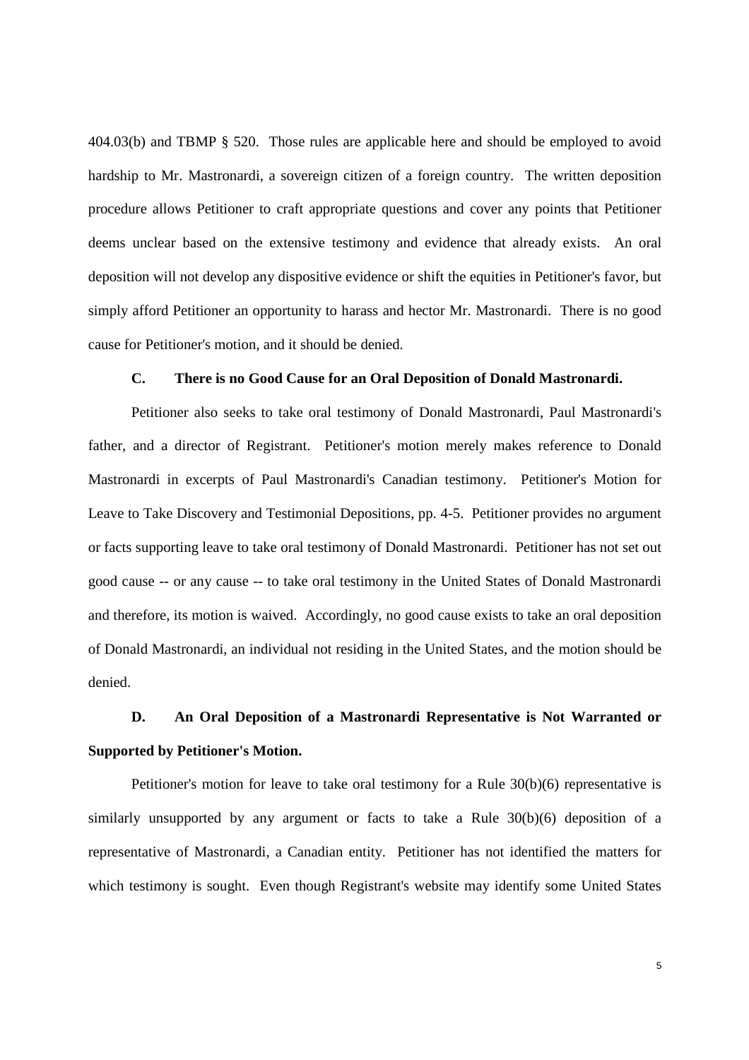404.03(b) and TBMP § 520. Those rules are applicable here and should be employed to avoid hardship to Mr. Mastronardi, a sovereign citizen of a foreign country. The written deposition procedure allows Petitioner to craft appropriate questions and cover any points that Petitioner deems unclear based on the extensive testimony and evidence that already exists. An oral deposition will not develop any dispositive evidence or shift the equities in Petitioner's favor, but simply afford Petitioner an opportunity to harass and hector Mr. Mastronardi. There is no good cause for Petitioner's motion, and it should be denied.

#### **C. There is no Good Cause for an Oral Deposition of Donald Mastronardi.**

Petitioner also seeks to take oral testimony of Donald Mastronardi, Paul Mastronardi's father, and a director of Registrant. Petitioner's motion merely makes reference to Donald Mastronardi in excerpts of Paul Mastronardi's Canadian testimony. Petitioner's Motion for Leave to Take Discovery and Testimonial Depositions, pp. 4-5. Petitioner provides no argument or facts supporting leave to take oral testimony of Donald Mastronardi. Petitioner has not set out good cause -- or any cause -- to take oral testimony in the United States of Donald Mastronardi and therefore, its motion is waived. Accordingly, no good cause exists to take an oral deposition of Donald Mastronardi, an individual not residing in the United States, and the motion should be denied.

# **D. An Oral Deposition of a Mastronardi Representative is Not Warranted or Supported by Petitioner's Motion.**

Petitioner's motion for leave to take oral testimony for a Rule 30(b)(6) representative is similarly unsupported by any argument or facts to take a Rule 30(b)(6) deposition of a representative of Mastronardi, a Canadian entity. Petitioner has not identified the matters for which testimony is sought. Even though Registrant's website may identify some United States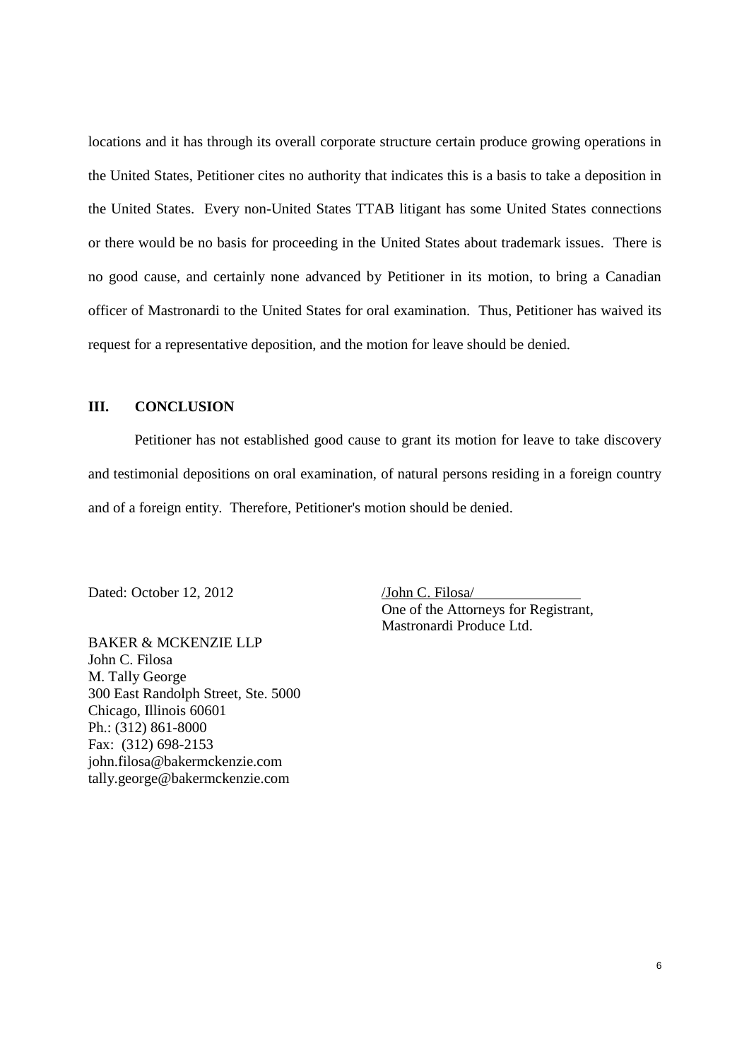locations and it has through its overall corporate structure certain produce growing operations in the United States, Petitioner cites no authority that indicates this is a basis to take a deposition in the United States. Every non-United States TTAB litigant has some United States connections or there would be no basis for proceeding in the United States about trademark issues. There is no good cause, and certainly none advanced by Petitioner in its motion, to bring a Canadian officer of Mastronardi to the United States for oral examination. Thus, Petitioner has waived its request for a representative deposition, and the motion for leave should be denied.

### **III. CONCLUSION**

Petitioner has not established good cause to grant its motion for leave to take discovery and testimonial depositions on oral examination, of natural persons residing in a foreign country and of a foreign entity. Therefore, Petitioner's motion should be denied.

Dated: October 12, 2012 /John C. Filosa

One of the Attorneys for Registrant, Mastronardi Produce Ltd.

BAKER & MCKENZIE LLP John C. Filosa M. Tally George 300 East Randolph Street, Ste. 5000 Chicago, Illinois 60601 Ph.: (312) 861-8000 Fax: (312) 698-2153 john.filosa@bakermckenzie.com tally.george@bakermckenzie.com